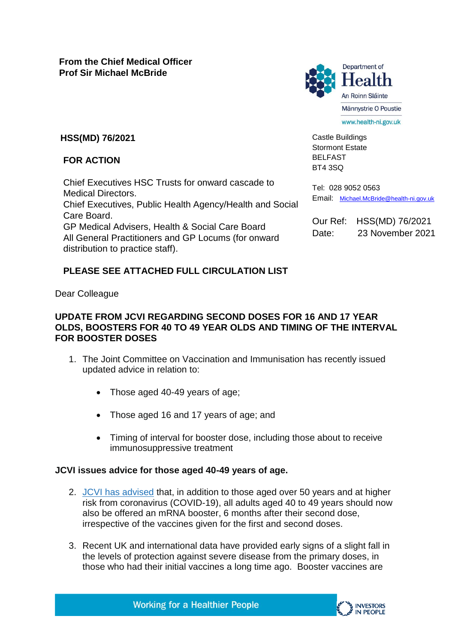

Castle Buildings Stormont Estate BELFAST BT4 3SQ

Tel: 028 9052 0563

**HSS(MD) 76/2021**

## **FOR ACTION**

Chief Executives HSC Trusts for onward cascade to Medical Directors. Chief Executives, Public Health Agency/Health and Social Care Board. GP Medical Advisers, Health & Social Care Board All General Practitioners and GP Locums (for onward distribution to practice staff).

# **PLEASE SEE ATTACHED FULL CIRCULATION LIST**

Dear Colleague

### **UPDATE FROM JCVI REGARDING SECOND DOSES FOR 16 AND 17 YEAR OLDS, BOOSTERS FOR 40 TO 49 YEAR OLDS AND TIMING OF THE INTERVAL FOR BOOSTER DOSES**

- 1. The Joint Committee on Vaccination and Immunisation has recently issued updated advice in relation to:
	- Those aged 40-49 years of age;
	- Those aged 16 and 17 years of age; and
	- Timing of interval for booster dose, including those about to receive immunosuppressive treatment

### **JCVI issues advice for those aged 40-49 years of age.**

- 2. JCVI [has advised](https://www.gov.uk/government/publications/covid-19-booster-vaccine-programme-for-winter-2021-to-2022-jcvi-statement-november-2021) that, in addition to those aged over 50 years and at higher risk from coronavirus (COVID-19), all adults aged 40 to 49 years should now also be offered an mRNA booster, 6 months after their second dose, irrespective of the vaccines given for the first and second doses.
- 3. Recent UK and international data have provided early signs of a slight fall in the levels of protection against severe disease from the primary doses, in those who had their initial vaccines a long time ago. Booster vaccines are



Our Ref: HSS(MD) 76/2021 Date: 23 November 2021

Email: [Michael.McBride@health-ni.gov.uk](mailto:Michael.McBride@health-ni.gov.uk)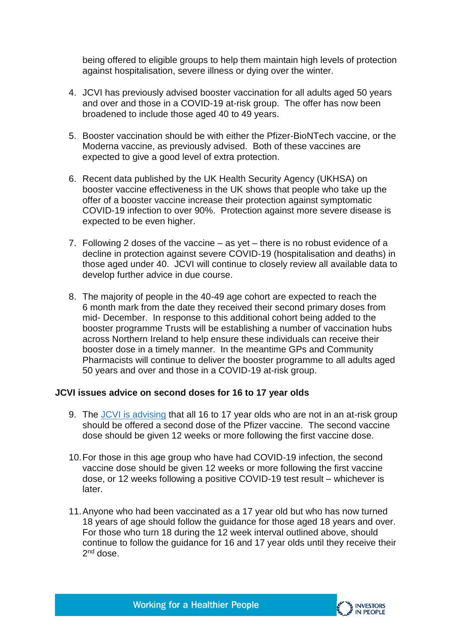being offered to eligible groups to help them maintain high levels of protection against hospitalisation, severe illness or dying over the winter.

- 4. JCVI has previously advised booster vaccination for all adults aged 50 years and over and those in a COVID-19 at-risk group. The offer has now been broadened to include those aged 40 to 49 years.
- 5. Booster vaccination should be with either the Pfizer-BioNTech vaccine, or the Moderna vaccine, as previously advised. Both of these vaccines are expected to give a good level of extra protection.
- 6. Recent data published by the UK Health Security Agency (UKHSA) on booster vaccine effectiveness in the UK shows that people who take up the offer of a booster vaccine increase their protection against symptomatic COVID-19 infection to over 90%. Protection against more severe disease is expected to be even higher.
- 7. Following 2 doses of the vaccine as yet there is no robust evidence of a decline in protection against severe COVID-19 (hospitalisation and deaths) in those aged under 40. JCVI will continue to closely review all available data to develop further advice in due course.
- 8. The majority of people in the 40-49 age cohort are expected to reach the 6 month mark from the date they received their second primary doses from mid- December. In response to this additional cohort being added to the booster programme Trusts will be establishing a number of vaccination hubs across Northern Ireland to help ensure these individuals can receive their booster dose in a timely manner. In the meantime GPs and Community Pharmacists will continue to deliver the booster programme to all adults aged 50 years and over and those in a COVID-19 at-risk group.

#### **JCVI issues advice on second doses for 16 to 17 year olds**

- 9. The JCVI [is advising](https://www.gov.uk/government/publications/covid-19-vaccination-in-children-and-young-people-aged-16-to-17-years-jcvi-statement-november-2021) that all 16 to 17 year olds who are not in an at-risk group should be offered a second dose of the Pfizer vaccine. The second vaccine dose should be given 12 weeks or more following the first vaccine dose.
- 10.For those in this age group who have had COVID-19 infection, the second vaccine dose should be given 12 weeks or more following the first vaccine dose, or 12 weeks following a positive COVID-19 test result – whichever is later.
- 11.Anyone who had been vaccinated as a 17 year old but who has now turned 18 years of age should follow the guidance for those aged 18 years and over. For those who turn 18 during the 12 week interval outlined above, should continue to follow the guidance for 16 and 17 year olds until they receive their 2<sup>nd</sup> dose.

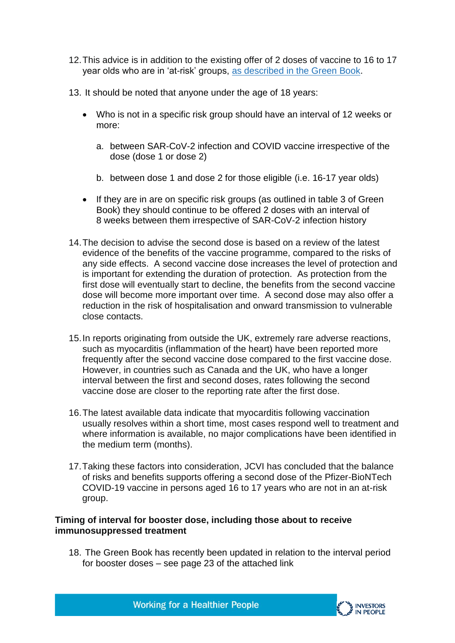- 12.This advice is in addition to the existing offer of 2 doses of vaccine to 16 to 17 year olds who are in 'at-risk' groups, [as described in the Green Book.](https://www.gov.uk/government/publications/covid-19-the-green-book-chapter-14a)
- 13. It should be noted that anyone under the age of 18 years:
	- Who is not in a specific risk group should have an interval of 12 weeks or more:
		- a. between SAR-CoV-2 infection and COVID vaccine irrespective of the dose (dose 1 or dose 2)
		- b. between dose 1 and dose 2 for those eligible (i.e. 16-17 year olds)
	- If they are in are on specific risk groups (as outlined in table 3 of Green Book) they should continue to be offered 2 doses with an interval of 8 weeks between them irrespective of SAR-CoV-2 infection history
- 14.The decision to advise the second dose is based on a review of the latest evidence of the benefits of the vaccine programme, compared to the risks of any side effects. A second vaccine dose increases the level of protection and is important for extending the duration of protection. As protection from the first dose will eventually start to decline, the benefits from the second vaccine dose will become more important over time. A second dose may also offer a reduction in the risk of hospitalisation and onward transmission to vulnerable close contacts.
- 15.In reports originating from outside the UK, extremely rare adverse reactions, such as myocarditis (inflammation of the heart) have been reported more frequently after the second vaccine dose compared to the first vaccine dose. However, in countries such as Canada and the UK, who have a longer interval between the first and second doses, rates following the second vaccine dose are closer to the reporting rate after the first dose.
- 16.The latest available data indicate that myocarditis following vaccination usually resolves within a short time, most cases respond well to treatment and where information is available, no major complications have been identified in the medium term (months).
- 17.Taking these factors into consideration, JCVI has concluded that the balance of risks and benefits supports offering a second dose of the Pfizer-BioNTech COVID-19 vaccine in persons aged 16 to 17 years who are not in an at-risk group.

#### **Timing of interval for booster dose, including those about to receive immunosuppressed treatment**

18. The Green Book has recently been updated in relation to the interval period for booster doses – see page 23 of the attached link

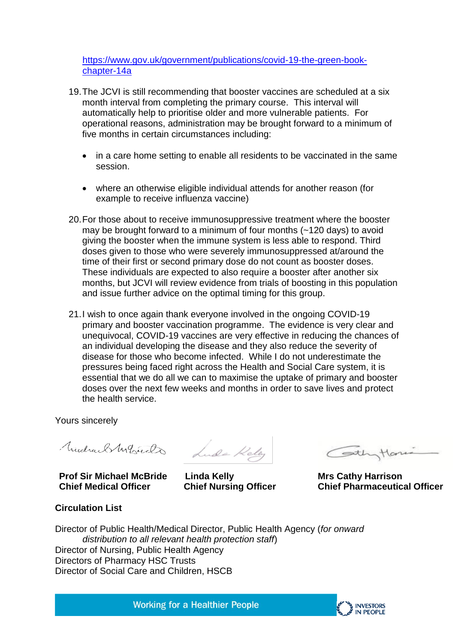[https://www.gov.uk/government/publications/covid-19-the-green-book](https://www.gov.uk/government/publications/covid-19-the-green-book-chapter-14a)[chapter-14a](https://www.gov.uk/government/publications/covid-19-the-green-book-chapter-14a)

- 19.The JCVI is still recommending that booster vaccines are scheduled at a six month interval from completing the primary course. This interval will automatically help to prioritise older and more vulnerable patients. For operational reasons, administration may be brought forward to a minimum of five months in certain circumstances including:
	- in a care home setting to enable all residents to be vaccinated in the same session.
	- where an otherwise eligible individual attends for another reason (for example to receive influenza vaccine)
- 20.For those about to receive immunosuppressive treatment where the booster may be brought forward to a minimum of four months (~120 days) to avoid giving the booster when the immune system is less able to respond. Third doses given to those who were severely immunosuppressed at/around the time of their first or second primary dose do not count as booster doses. These individuals are expected to also require a booster after another six months, but JCVI will review evidence from trials of boosting in this population and issue further advice on the optimal timing for this group.
- 21.I wish to once again thank everyone involved in the ongoing COVID-19 primary and booster vaccination programme. The evidence is very clear and unequivocal, COVID-19 vaccines are very effective in reducing the chances of an individual developing the disease and they also reduce the severity of disease for those who become infected. While I do not underestimate the pressures being faced right across the Health and Social Care system, it is essential that we do all we can to maximise the uptake of primary and booster doses over the next few weeks and months in order to save lives and protect the health service.

Yours sincerely

**Prof Sir Michael McBride Chief Medical Officer**

MidraelMarsuch Lude Keley

**Linda Kelly Chief Nursing Officer** 

Cothytone

**Mrs Cathy Harrison Chief Pharmaceutical Officer**

**Circulation List** 

Director of Public Health/Medical Director, Public Health Agency (*for onward distribution to all relevant health protection staff*) Director of Nursing, Public Health Agency Directors of Pharmacy HSC Trusts Director of Social Care and Children, HSCB